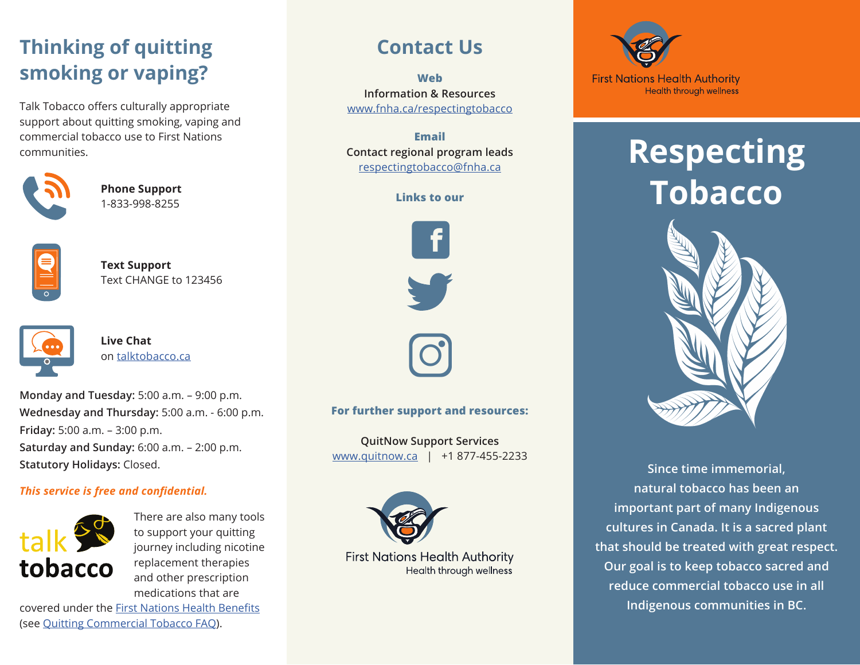## **Thinking of quitting smoking or vaping?**

Talk Tobacco offers culturally appropriate support about quitting smoking, vaping and commercial tobacco use to First Nations communities.



**Phone Support** 1-833-998-8255



**Text Support** Text CHANGE to 123456



**Live Chat** on [talktobacco.ca](https://smokershelpline.ca/talktobacco/home)

**Monday and Tuesday:** 5:00 a.m. – 9:00 p.m. **Wednesday and Thursday:** 5:00 a.m. - 6:00 p.m. **Friday:** 5:00 a.m. – 3:00 p.m. **Saturday and Sunday:** 6:00 a.m. – 2:00 p.m. **Statutory Holidays:** Closed.

### *This service is free and confidential.*



There are also many tools to support your quitting journey including nicotine replacement therapies and other prescription medications that are

covered under the [First Nations Health Benefits](https://www.fnha.ca/BenefitsSite/Pages/Benefits.aspx) (see [Quitting Commercial Tobacco FAQ](https://www.fnha.ca/Documents/FNHA-Quitting-Commercial-Tobacco-FAQs.pdf)).

### **Contact Us**

**Web Information & Resources** [www.fnha.ca/respectingtobacco](mailto:https://www.fnha.ca/wellness/wellness-for-first-nations/wellness-streams/respecting-tobacco?subject=)

**Email Contact regional program leads** [respectingtobacco@fnha.ca](mailto:respectingtobacco%40fnha.ca?subject=)

**Links to our**



### **For further support and resources:**

**QuitNow Support Services** [www.quitnow.ca](https://quitnow.ca/) | +1 877-455-2233



**First Nations Health Authority** Health through wellness



## **Respecting Tobacco**



**Since time immemorial, natural tobacco has been an important part of many Indigenous cultures in Canada. It is a sacred plant that should be treated with great respect. Our goal is to keep tobacco sacred and reduce commercial tobacco use in all Indigenous communities in BC.**